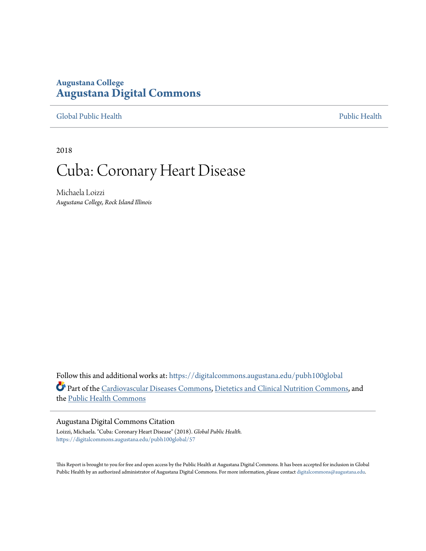## **Augustana College [Augustana Digital Commons](https://digitalcommons.augustana.edu?utm_source=digitalcommons.augustana.edu%2Fpubh100global%2F57&utm_medium=PDF&utm_campaign=PDFCoverPages)**

[Global Public Health](https://digitalcommons.augustana.edu/pubh100global?utm_source=digitalcommons.augustana.edu%2Fpubh100global%2F57&utm_medium=PDF&utm_campaign=PDFCoverPages) [Public Health](https://digitalcommons.augustana.edu/publichealth?utm_source=digitalcommons.augustana.edu%2Fpubh100global%2F57&utm_medium=PDF&utm_campaign=PDFCoverPages)

2018

# Cuba: Coronary Heart Disease

Michaela Loizzi *Augustana College, Rock Island Illinois*

Follow this and additional works at: [https://digitalcommons.augustana.edu/pubh100global](https://digitalcommons.augustana.edu/pubh100global?utm_source=digitalcommons.augustana.edu%2Fpubh100global%2F57&utm_medium=PDF&utm_campaign=PDFCoverPages) Part of the [Cardiovascular Diseases Commons,](http://network.bepress.com/hgg/discipline/929?utm_source=digitalcommons.augustana.edu%2Fpubh100global%2F57&utm_medium=PDF&utm_campaign=PDFCoverPages) [Dietetics and Clinical Nutrition Commons,](http://network.bepress.com/hgg/discipline/662?utm_source=digitalcommons.augustana.edu%2Fpubh100global%2F57&utm_medium=PDF&utm_campaign=PDFCoverPages) and the [Public Health Commons](http://network.bepress.com/hgg/discipline/738?utm_source=digitalcommons.augustana.edu%2Fpubh100global%2F57&utm_medium=PDF&utm_campaign=PDFCoverPages)

### Augustana Digital Commons Citation

Loizzi, Michaela. "Cuba: Coronary Heart Disease" (2018). *Global Public Health.* [https://digitalcommons.augustana.edu/pubh100global/57](https://digitalcommons.augustana.edu/pubh100global/57?utm_source=digitalcommons.augustana.edu%2Fpubh100global%2F57&utm_medium=PDF&utm_campaign=PDFCoverPages)

This Report is brought to you for free and open access by the Public Health at Augustana Digital Commons. It has been accepted for inclusion in Global Public Health by an authorized administrator of Augustana Digital Commons. For more information, please contact [digitalcommons@augustana.edu.](mailto:digitalcommons@augustana.edu)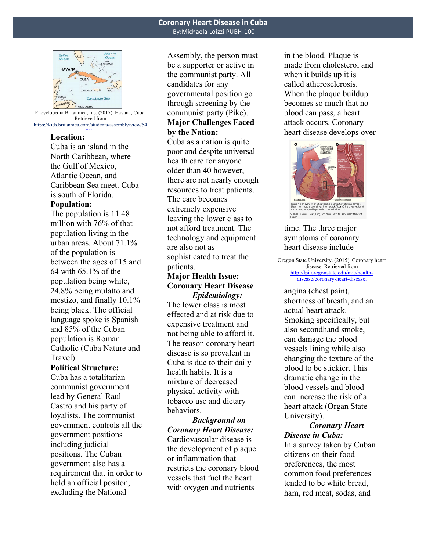

Encyclopedia Britannica, Inc. (2017). Havana, Cuba. Retrieved from https://kids.britannica.com/students/assembly/view/54  $\sim$ 

## **Location:**

PUBH-100

Cuba is an island in the North Caribbean, where the Gulf of Mexico, Atlantic Ocean, and Caribbean Sea meet. Cuba is south of Florida.

## **Population:**

The population is 11.48 million with 76% of that population living in the urban areas. About 71.1% of the population is between the ages of 15 and 64 with 65.1% of the population being white, 24.8% being mulatto and mestizo, and finally 10.1% being black. The official language spoke is Spanish and 85% of the Cuban population is Roman Catholic (Cuba Nature and Travel).

#### **Political Structure:**

Cuba has a totalitarian communist government lead by General Raul Castro and his party of loyalists. The communist government controls all the government positions including judicial positions. The Cuban government also has a requirement that in order to hold an official positon, excluding the National

Assembly, the person must be a supporter or active in the communist party. All candidates for any governmental position go through screening by the communist party (Pike). **Major Challenges Faced** 

## **by the Nation:**

Cuba as a nation is quite poor and despite universal health care for anyone older than 40 however, there are not nearly enough resources to treat patients. The care becomes extremely expensive leaving the lower class to not afford treatment. The technology and equipment are also not as sophisticated to treat the patients.

## **Major Health Issue: Coronary Heart Disease** *Epidemiology:*

The lower class is most effected and at risk due to expensive treatment and not being able to afford it. The reason coronary heart disease is so prevalent in Cuba is due to their daily health habits. It is a mixture of decreased physical activity with tobacco use and dietary behaviors.

*Background on Coronary Heart Disease:* Cardiovascular disease is the development of plaque or inflammation that restricts the coronary blood vessels that fuel the heart with oxygen and nutrients

in the blood. Plaque is made from cholesterol and when it builds up it is called atherosclerosis. When the plaque buildup becomes so much that no blood can pass, a heart attack occurs. Coronary heart disease develops over



time. The three major symptoms of coronary heart disease include

Oregon State University. (2015), Coronary heart disease. Retrieved from http://lpi.oregonstate.edu/mic/healthdisease/coronary-heart-disease.

angina (chest pain), shortness of breath, and an actual heart attack. Smoking specifically, but also secondhand smoke, can damage the blood vessels lining while also changing the texture of the blood to be stickier. This dramatic change in the blood vessels and blood can increase the risk of a heart attack (Organ State University).

## *Coronary Heart Disease in Cuba:*

In a survey taken by Cuban citizens on their food preferences, the most common food preferences tended to be white bread, ham, red meat, sodas, and